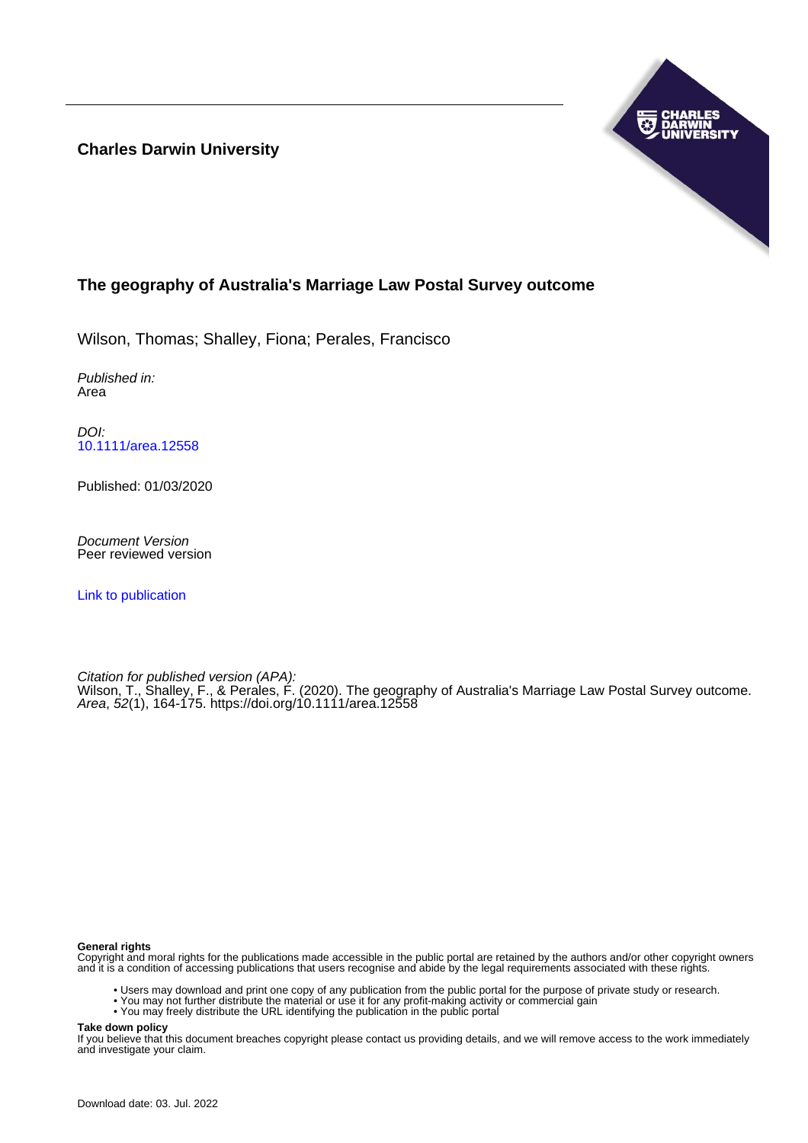**Charles Darwin University**



### **The geography of Australia's Marriage Law Postal Survey outcome**

Wilson, Thomas; Shalley, Fiona; Perales, Francisco

Published in: Area

DOI: [10.1111/area.12558](https://doi.org/10.1111/area.12558)

Published: 01/03/2020

Document Version Peer reviewed version

[Link to publication](https://researchers.cdu.edu.au/en/publications/ab1d378c-8edb-4489-b46a-09d8003dcc25)

Citation for published version (APA): Wilson, T., Shalley, F., & Perales, F. (2020). The geography of Australia's Marriage Law Postal Survey outcome. Area, 52(1), 164-175. <https://doi.org/10.1111/area.12558>

#### **General rights**

Copyright and moral rights for the publications made accessible in the public portal are retained by the authors and/or other copyright owners and it is a condition of accessing publications that users recognise and abide by the legal requirements associated with these rights.

- Users may download and print one copy of any publication from the public portal for the purpose of private study or research.
- You may not further distribute the material or use it for any profit-making activity or commercial gain
- You may freely distribute the URL identifying the publication in the public portal

**Take down policy**

If you believe that this document breaches copyright please contact us providing details, and we will remove access to the work immediately and investigate your claim.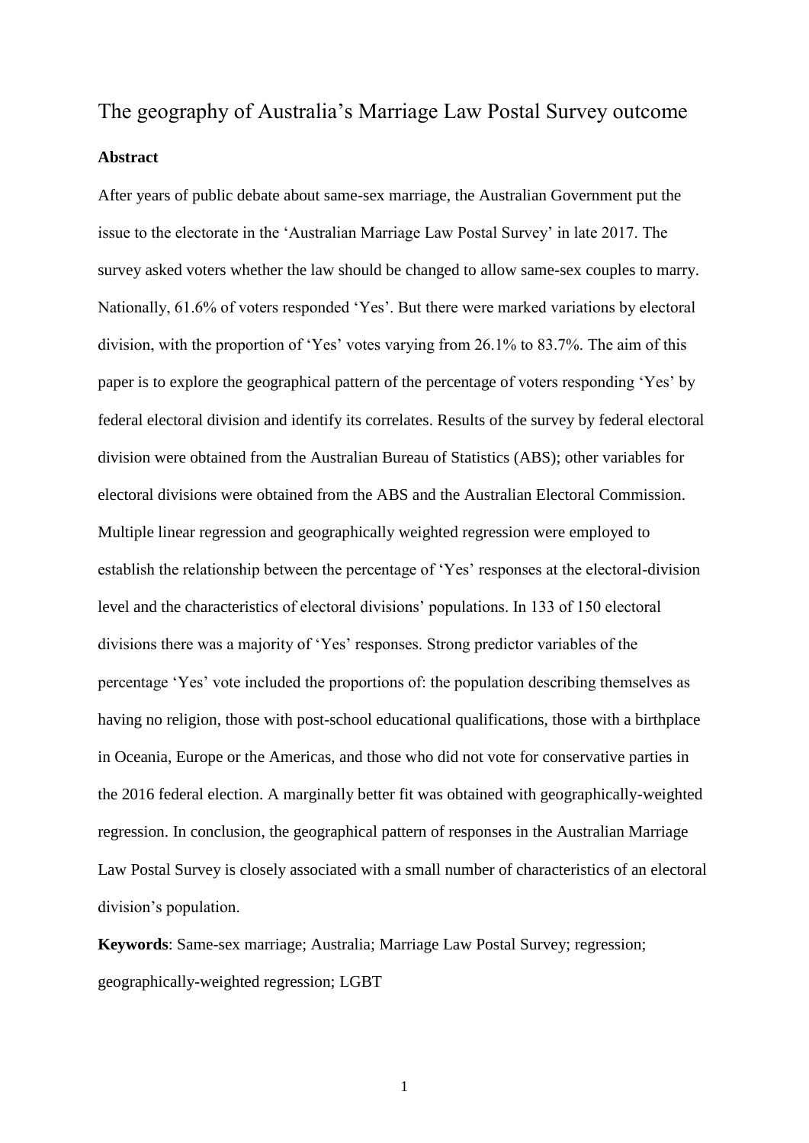# The geography of Australia's Marriage Law Postal Survey outcome **Abstract**

After years of public debate about same-sex marriage, the Australian Government put the issue to the electorate in the 'Australian Marriage Law Postal Survey' in late 2017. The survey asked voters whether the law should be changed to allow same-sex couples to marry. Nationally, 61.6% of voters responded 'Yes'. But there were marked variations by electoral division, with the proportion of 'Yes' votes varying from 26.1% to 83.7%. The aim of this paper is to explore the geographical pattern of the percentage of voters responding 'Yes' by federal electoral division and identify its correlates. Results of the survey by federal electoral division were obtained from the Australian Bureau of Statistics (ABS); other variables for electoral divisions were obtained from the ABS and the Australian Electoral Commission. Multiple linear regression and geographically weighted regression were employed to establish the relationship between the percentage of 'Yes' responses at the electoral-division level and the characteristics of electoral divisions' populations. In 133 of 150 electoral divisions there was a majority of 'Yes' responses. Strong predictor variables of the percentage 'Yes' vote included the proportions of: the population describing themselves as having no religion, those with post-school educational qualifications, those with a birthplace in Oceania, Europe or the Americas, and those who did not vote for conservative parties in the 2016 federal election. A marginally better fit was obtained with geographically-weighted regression. In conclusion, the geographical pattern of responses in the Australian Marriage Law Postal Survey is closely associated with a small number of characteristics of an electoral division's population.

**Keywords**: Same-sex marriage; Australia; Marriage Law Postal Survey; regression; geographically-weighted regression; LGBT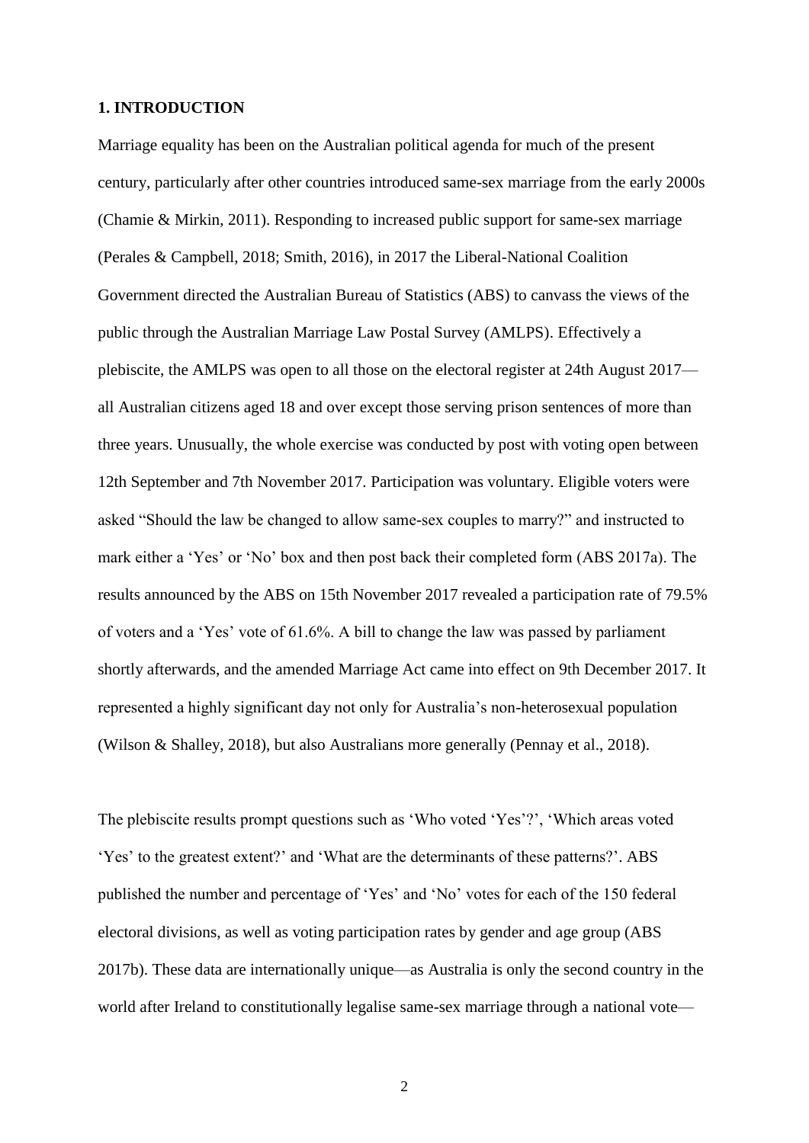#### **1. INTRODUCTION**

Marriage equality has been on the Australian political agenda for much of the present century, particularly after other countries introduced same-sex marriage from the early 2000s (Chamie & Mirkin, 2011). Responding to increased public support for same-sex marriage (Perales & Campbell, 2018; Smith, 2016), in 2017 the Liberal-National Coalition Government directed the Australian Bureau of Statistics (ABS) to canvass the views of the public through the Australian Marriage Law Postal Survey (AMLPS). Effectively a plebiscite, the AMLPS was open to all those on the electoral register at 24th August 2017 all Australian citizens aged 18 and over except those serving prison sentences of more than three years. Unusually, the whole exercise was conducted by post with voting open between 12th September and 7th November 2017. Participation was voluntary. Eligible voters were asked "Should the law be changed to allow same-sex couples to marry?" and instructed to mark either a 'Yes' or 'No' box and then post back their completed form (ABS 2017a). The results announced by the ABS on 15th November 2017 revealed a participation rate of 79.5% of voters and a 'Yes' vote of 61.6%. A bill to change the law was passed by parliament shortly afterwards, and the amended Marriage Act came into effect on 9th December 2017. It represented a highly significant day not only for Australia's non-heterosexual population (Wilson & Shalley, 2018), but also Australians more generally (Pennay et al., 2018).

The plebiscite results prompt questions such as 'Who voted 'Yes'?', 'Which areas voted 'Yes' to the greatest extent?' and 'What are the determinants of these patterns?'. ABS published the number and percentage of 'Yes' and 'No' votes for each of the 150 federal electoral divisions, as well as voting participation rates by gender and age group (ABS 2017b). These data are internationally unique—as Australia is only the second country in the world after Ireland to constitutionally legalise same-sex marriage through a national vote—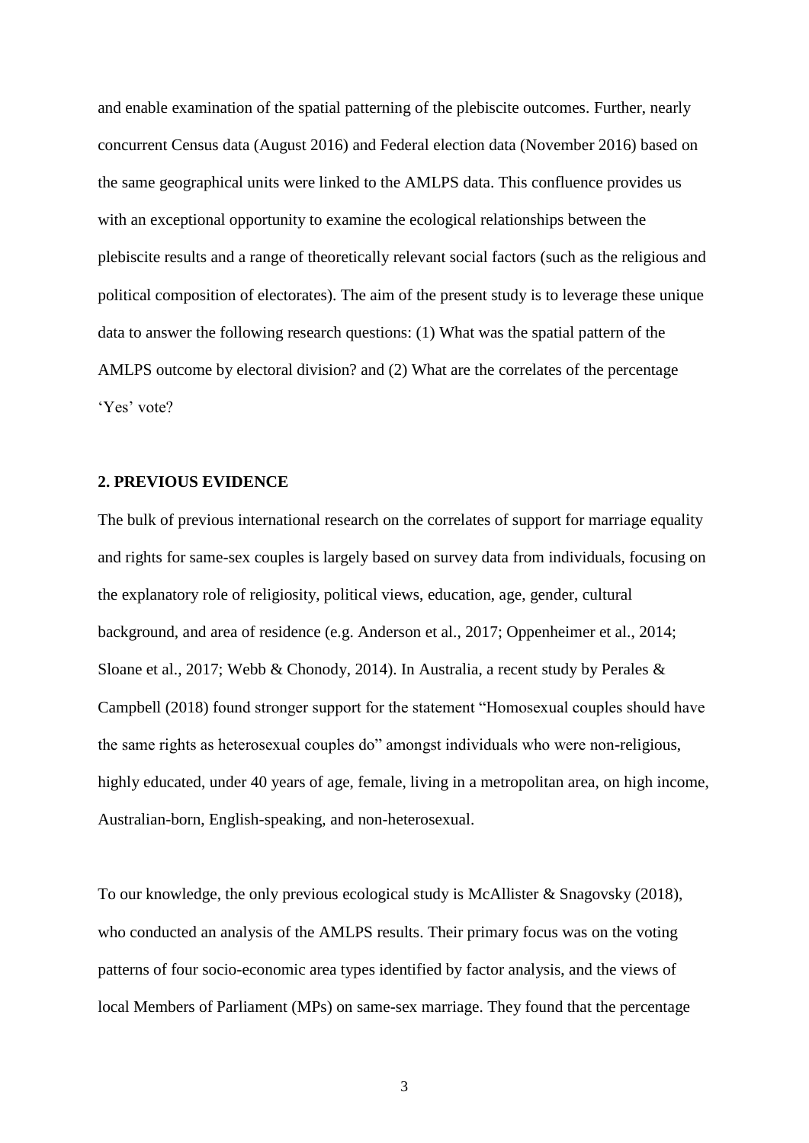and enable examination of the spatial patterning of the plebiscite outcomes. Further, nearly concurrent Census data (August 2016) and Federal election data (November 2016) based on the same geographical units were linked to the AMLPS data. This confluence provides us with an exceptional opportunity to examine the ecological relationships between the plebiscite results and a range of theoretically relevant social factors (such as the religious and political composition of electorates). The aim of the present study is to leverage these unique data to answer the following research questions: (1) What was the spatial pattern of the AMLPS outcome by electoral division? and (2) What are the correlates of the percentage 'Yes' vote?

#### **2. PREVIOUS EVIDENCE**

The bulk of previous international research on the correlates of support for marriage equality and rights for same-sex couples is largely based on survey data from individuals, focusing on the explanatory role of religiosity, political views, education, age, gender, cultural background, and area of residence (e.g. Anderson et al., 2017; Oppenheimer et al., 2014; Sloane et al., 2017; Webb & Chonody, 2014). In Australia, a recent study by Perales & Campbell (2018) found stronger support for the statement "Homosexual couples should have the same rights as heterosexual couples do" amongst individuals who were non-religious, highly educated, under 40 years of age, female, living in a metropolitan area, on high income, Australian-born, English-speaking, and non-heterosexual.

To our knowledge, the only previous ecological study is McAllister & Snagovsky (2018), who conducted an analysis of the AMLPS results. Their primary focus was on the voting patterns of four socio-economic area types identified by factor analysis, and the views of local Members of Parliament (MPs) on same-sex marriage. They found that the percentage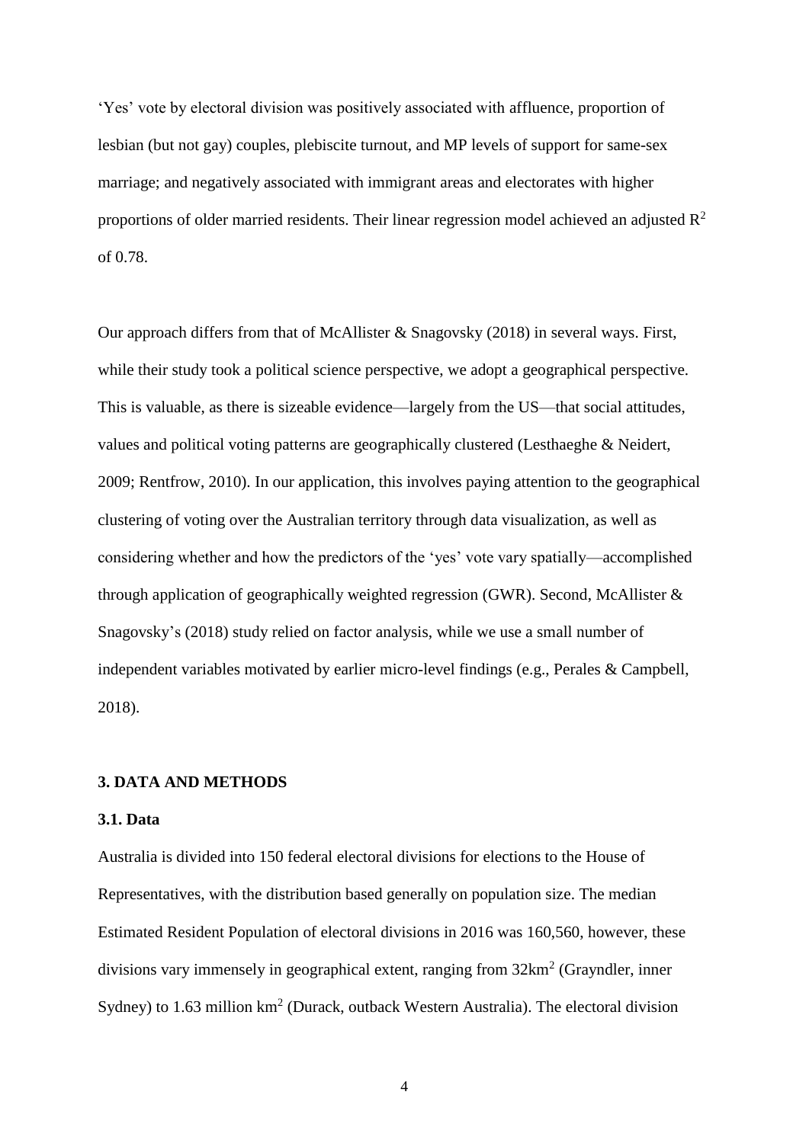'Yes' vote by electoral division was positively associated with affluence, proportion of lesbian (but not gay) couples, plebiscite turnout, and MP levels of support for same-sex marriage; and negatively associated with immigrant areas and electorates with higher proportions of older married residents. Their linear regression model achieved an adjusted  $R^2$ of 0.78.

Our approach differs from that of McAllister & Snagovsky (2018) in several ways. First, while their study took a political science perspective, we adopt a geographical perspective. This is valuable, as there is sizeable evidence—largely from the US—that social attitudes, values and political voting patterns are geographically clustered (Lesthaeghe & Neidert, 2009; Rentfrow, 2010). In our application, this involves paying attention to the geographical clustering of voting over the Australian territory through data visualization, as well as considering whether and how the predictors of the 'yes' vote vary spatially—accomplished through application of geographically weighted regression (GWR). Second, McAllister  $\&$ Snagovsky's (2018) study relied on factor analysis, while we use a small number of independent variables motivated by earlier micro-level findings (e.g., Perales & Campbell, 2018).

#### **3. DATA AND METHODS**

#### **3.1. Data**

Australia is divided into 150 federal electoral divisions for elections to the House of Representatives, with the distribution based generally on population size. The median Estimated Resident Population of electoral divisions in 2016 was 160,560, however, these divisions vary immensely in geographical extent, ranging from  $32 \text{km}^2$  (Grayndler, inner Sydney) to 1.63 million  $km^2$  (Durack, outback Western Australia). The electoral division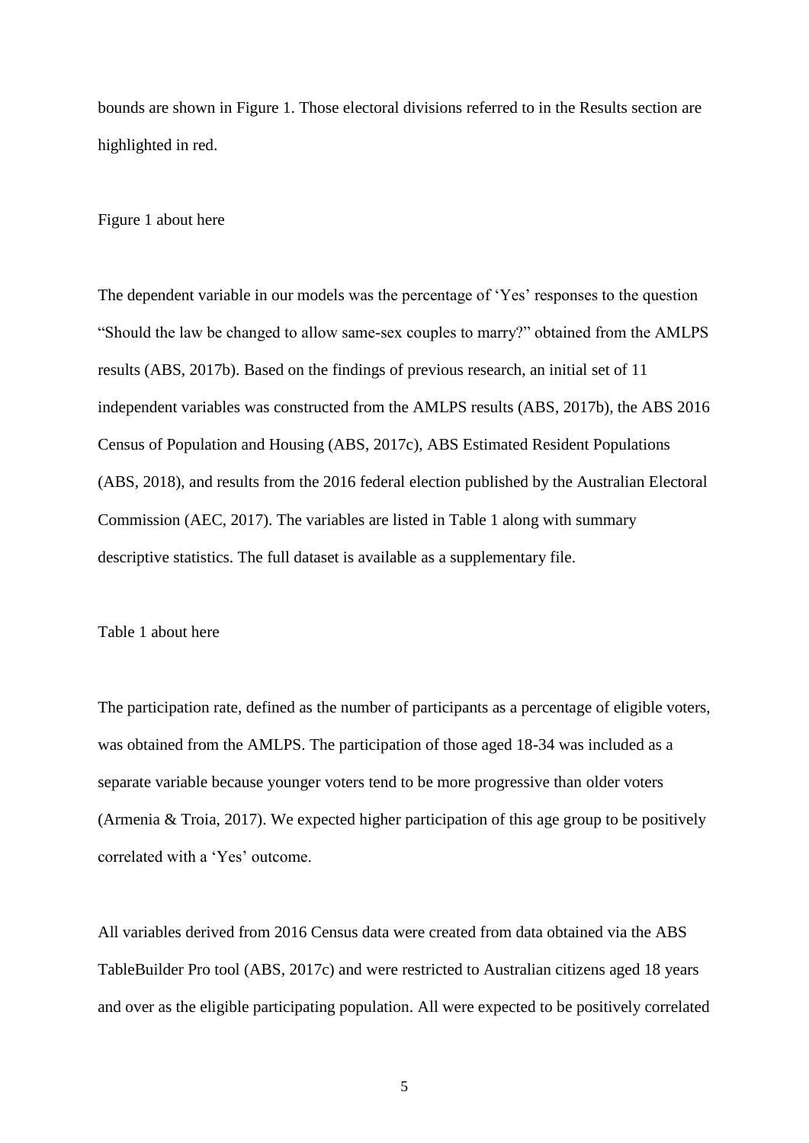bounds are shown in Figure 1. Those electoral divisions referred to in the Results section are highlighted in red.

Figure 1 about here

The dependent variable in our models was the percentage of 'Yes' responses to the question "Should the law be changed to allow same-sex couples to marry?" obtained from the AMLPS results (ABS, 2017b). Based on the findings of previous research, an initial set of 11 independent variables was constructed from the AMLPS results (ABS, 2017b), the ABS 2016 Census of Population and Housing (ABS, 2017c), ABS Estimated Resident Populations (ABS, 2018), and results from the 2016 federal election published by the Australian Electoral Commission (AEC, 2017). The variables are listed in Table 1 along with summary descriptive statistics. The full dataset is available as a supplementary file.

Table 1 about here

The participation rate, defined as the number of participants as a percentage of eligible voters, was obtained from the AMLPS. The participation of those aged 18-34 was included as a separate variable because younger voters tend to be more progressive than older voters (Armenia & Troia, 2017). We expected higher participation of this age group to be positively correlated with a 'Yes' outcome.

All variables derived from 2016 Census data were created from data obtained via the ABS TableBuilder Pro tool (ABS, 2017c) and were restricted to Australian citizens aged 18 years and over as the eligible participating population. All were expected to be positively correlated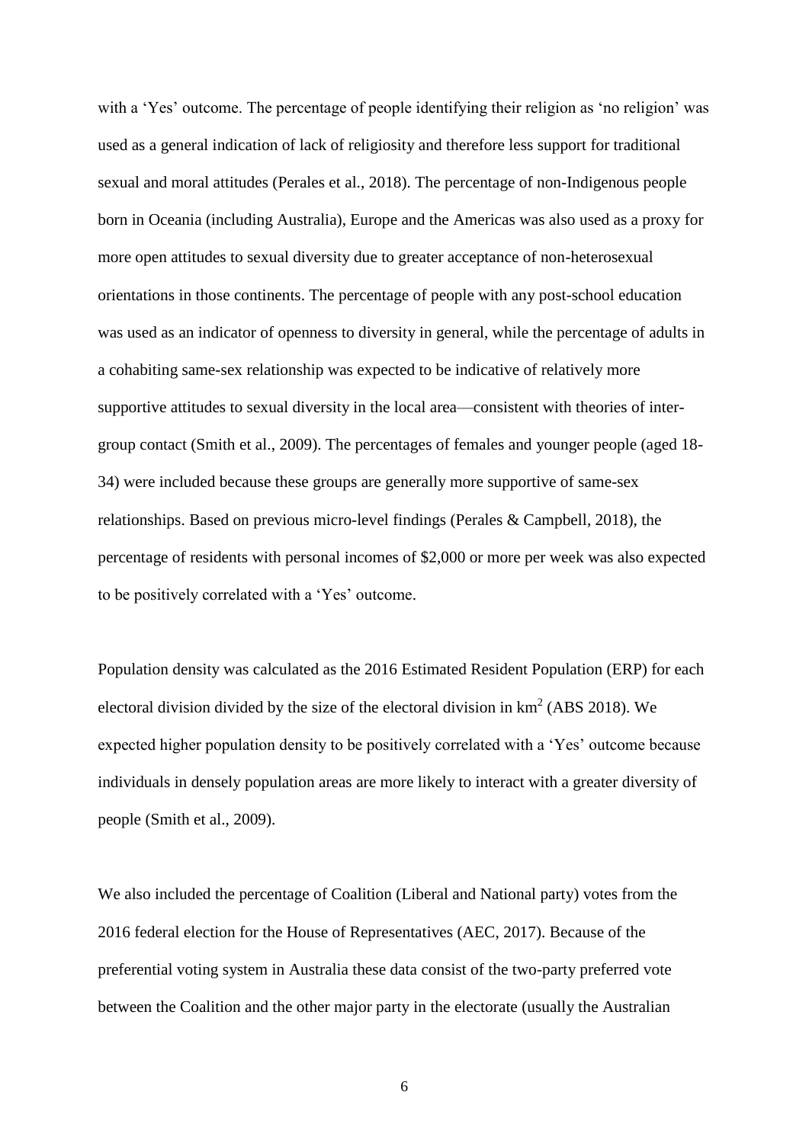with a 'Yes' outcome. The percentage of people identifying their religion as 'no religion' was used as a general indication of lack of religiosity and therefore less support for traditional sexual and moral attitudes (Perales et al., 2018). The percentage of non-Indigenous people born in Oceania (including Australia), Europe and the Americas was also used as a proxy for more open attitudes to sexual diversity due to greater acceptance of non-heterosexual orientations in those continents. The percentage of people with any post-school education was used as an indicator of openness to diversity in general, while the percentage of adults in a cohabiting same-sex relationship was expected to be indicative of relatively more supportive attitudes to sexual diversity in the local area—consistent with theories of intergroup contact (Smith et al., 2009). The percentages of females and younger people (aged 18- 34) were included because these groups are generally more supportive of same-sex relationships. Based on previous micro-level findings (Perales & Campbell, 2018), the percentage of residents with personal incomes of \$2,000 or more per week was also expected to be positively correlated with a 'Yes' outcome.

Population density was calculated as the 2016 Estimated Resident Population (ERP) for each electoral division divided by the size of the electoral division in  $km^2$  (ABS 2018). We expected higher population density to be positively correlated with a 'Yes' outcome because individuals in densely population areas are more likely to interact with a greater diversity of people (Smith et al., 2009).

We also included the percentage of Coalition (Liberal and National party) votes from the 2016 federal election for the House of Representatives (AEC, 2017). Because of the preferential voting system in Australia these data consist of the two-party preferred vote between the Coalition and the other major party in the electorate (usually the Australian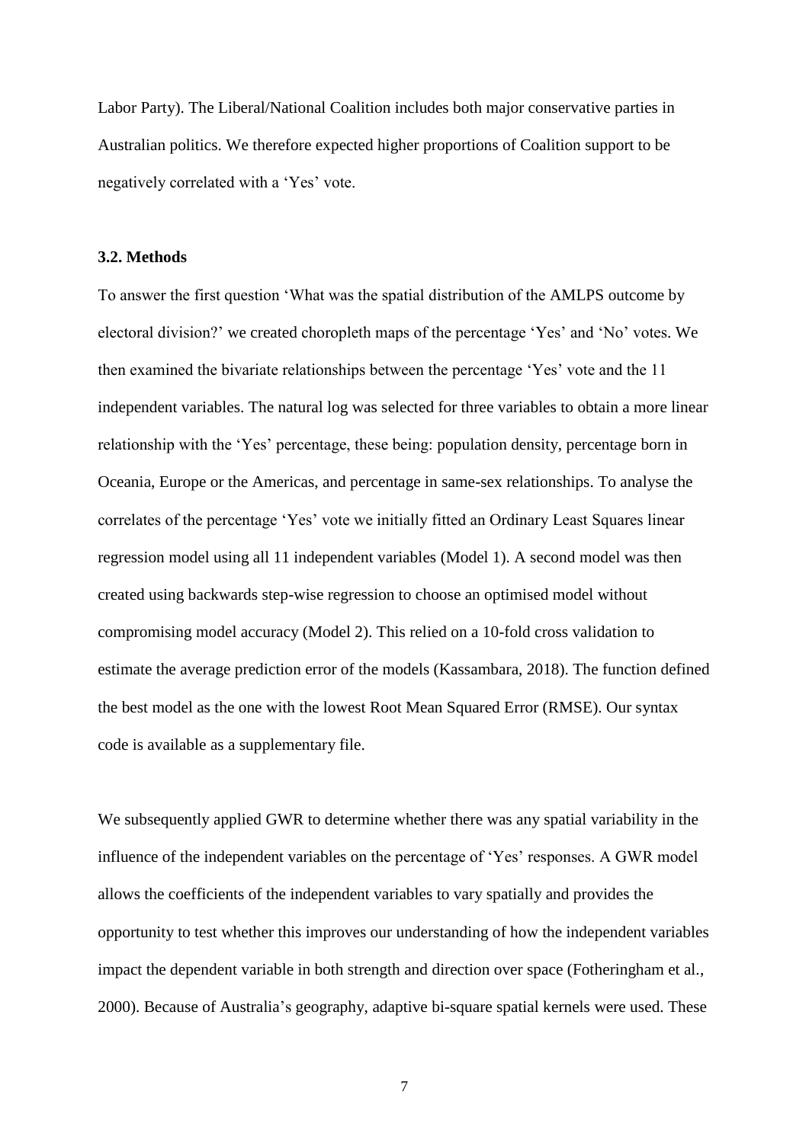Labor Party). The Liberal/National Coalition includes both major conservative parties in Australian politics. We therefore expected higher proportions of Coalition support to be negatively correlated with a 'Yes' vote.

#### **3.2. Methods**

To answer the first question 'What was the spatial distribution of the AMLPS outcome by electoral division?' we created choropleth maps of the percentage 'Yes' and 'No' votes. We then examined the bivariate relationships between the percentage 'Yes' vote and the 11 independent variables. The natural log was selected for three variables to obtain a more linear relationship with the 'Yes' percentage, these being: population density, percentage born in Oceania, Europe or the Americas, and percentage in same-sex relationships. To analyse the correlates of the percentage 'Yes' vote we initially fitted an Ordinary Least Squares linear regression model using all 11 independent variables (Model 1). A second model was then created using backwards step-wise regression to choose an optimised model without compromising model accuracy (Model 2). This relied on a 10-fold cross validation to estimate the average prediction error of the models (Kassambara, 2018). The function defined the best model as the one with the lowest Root Mean Squared Error (RMSE). Our syntax code is available as a supplementary file.

We subsequently applied GWR to determine whether there was any spatial variability in the influence of the independent variables on the percentage of 'Yes' responses. A GWR model allows the coefficients of the independent variables to vary spatially and provides the opportunity to test whether this improves our understanding of how the independent variables impact the dependent variable in both strength and direction over space (Fotheringham et al., 2000). Because of Australia's geography, adaptive bi-square spatial kernels were used. These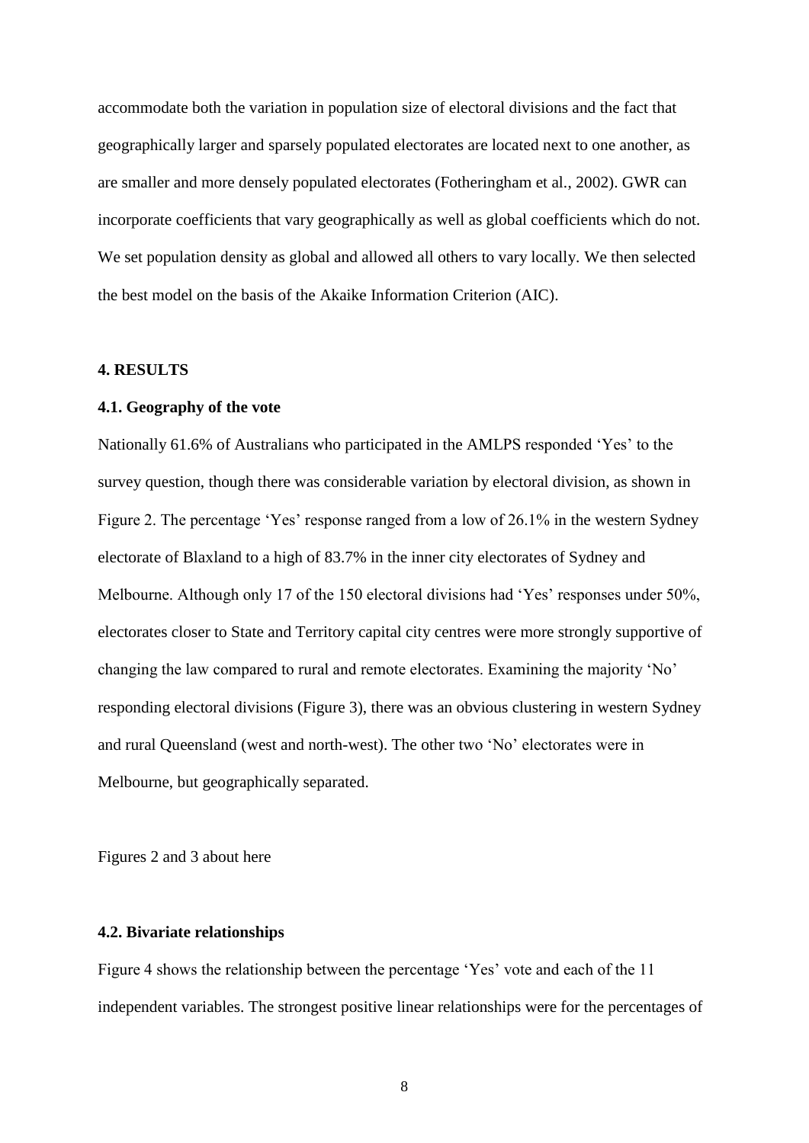accommodate both the variation in population size of electoral divisions and the fact that geographically larger and sparsely populated electorates are located next to one another, as are smaller and more densely populated electorates (Fotheringham et al., 2002). GWR can incorporate coefficients that vary geographically as well as global coefficients which do not. We set population density as global and allowed all others to vary locally. We then selected the best model on the basis of the Akaike Information Criterion (AIC).

#### **4. RESULTS**

#### **4.1. Geography of the vote**

Nationally 61.6% of Australians who participated in the AMLPS responded 'Yes' to the survey question, though there was considerable variation by electoral division, as shown in Figure 2. The percentage 'Yes' response ranged from a low of 26.1% in the western Sydney electorate of Blaxland to a high of 83.7% in the inner city electorates of Sydney and Melbourne. Although only 17 of the 150 electoral divisions had 'Yes' responses under 50%, electorates closer to State and Territory capital city centres were more strongly supportive of changing the law compared to rural and remote electorates. Examining the majority 'No' responding electoral divisions (Figure 3), there was an obvious clustering in western Sydney and rural Queensland (west and north-west). The other two 'No' electorates were in Melbourne, but geographically separated.

Figures 2 and 3 about here

#### **4.2. Bivariate relationships**

Figure 4 shows the relationship between the percentage 'Yes' vote and each of the 11 independent variables. The strongest positive linear relationships were for the percentages of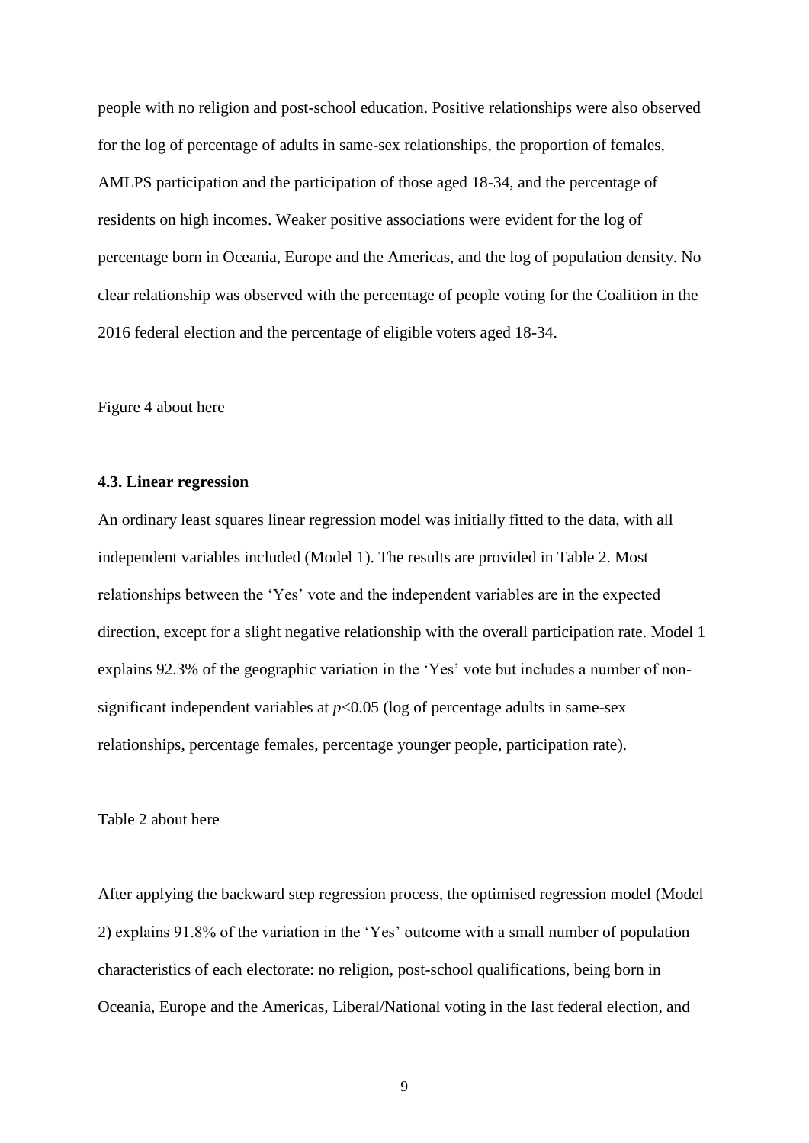people with no religion and post-school education. Positive relationships were also observed for the log of percentage of adults in same-sex relationships, the proportion of females, AMLPS participation and the participation of those aged 18-34, and the percentage of residents on high incomes. Weaker positive associations were evident for the log of percentage born in Oceania, Europe and the Americas, and the log of population density. No clear relationship was observed with the percentage of people voting for the Coalition in the 2016 federal election and the percentage of eligible voters aged 18-34.

Figure 4 about here

#### **4.3. Linear regression**

An ordinary least squares linear regression model was initially fitted to the data, with all independent variables included (Model 1). The results are provided in Table 2. Most relationships between the 'Yes' vote and the independent variables are in the expected direction, except for a slight negative relationship with the overall participation rate. Model 1 explains 92.3% of the geographic variation in the 'Yes' vote but includes a number of nonsignificant independent variables at  $p<0.05$  (log of percentage adults in same-sex relationships, percentage females, percentage younger people, participation rate).

Table 2 about here

After applying the backward step regression process, the optimised regression model (Model 2) explains 91.8% of the variation in the 'Yes' outcome with a small number of population characteristics of each electorate: no religion, post-school qualifications, being born in Oceania, Europe and the Americas, Liberal/National voting in the last federal election, and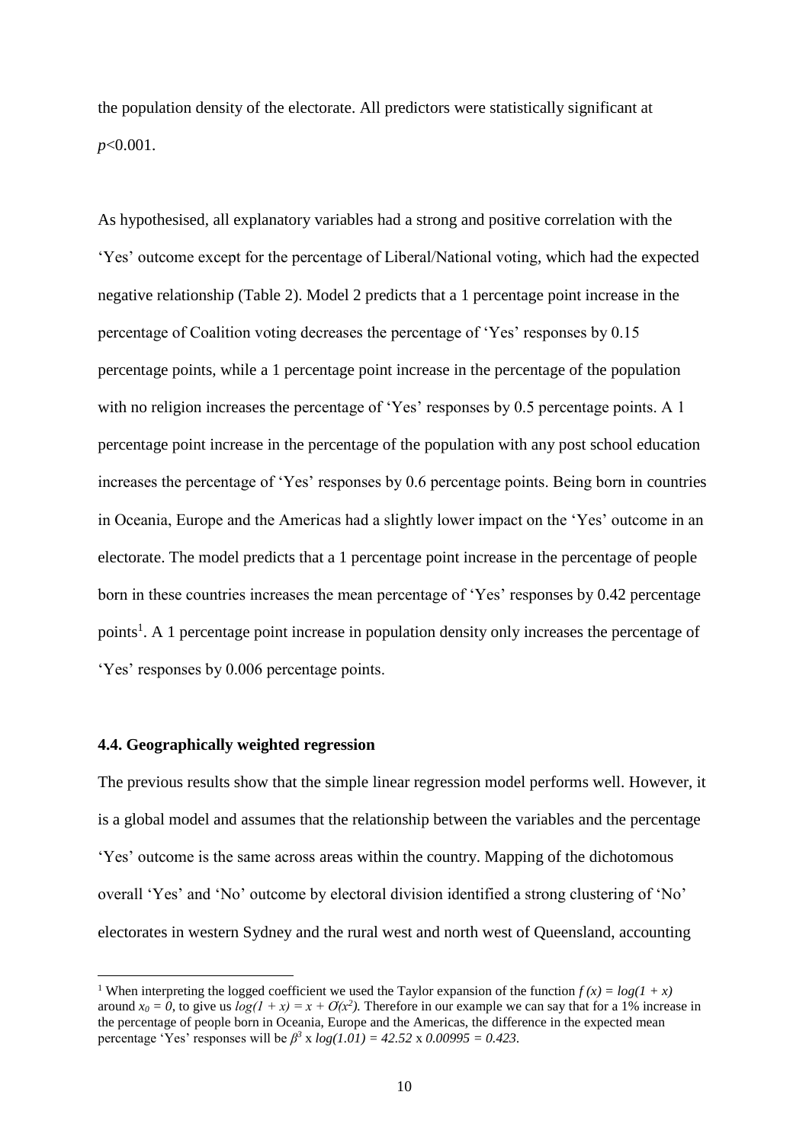the population density of the electorate. All predictors were statistically significant at *p*<0.001.

As hypothesised, all explanatory variables had a strong and positive correlation with the 'Yes' outcome except for the percentage of Liberal/National voting, which had the expected negative relationship (Table 2). Model 2 predicts that a 1 percentage point increase in the percentage of Coalition voting decreases the percentage of 'Yes' responses by 0.15 percentage points, while a 1 percentage point increase in the percentage of the population with no religion increases the percentage of 'Yes' responses by 0.5 percentage points. A 1 percentage point increase in the percentage of the population with any post school education increases the percentage of 'Yes' responses by 0.6 percentage points. Being born in countries in Oceania, Europe and the Americas had a slightly lower impact on the 'Yes' outcome in an electorate. The model predicts that a 1 percentage point increase in the percentage of people born in these countries increases the mean percentage of 'Yes' responses by 0.42 percentage points<sup>1</sup>. A 1 percentage point increase in population density only increases the percentage of 'Yes' responses by 0.006 percentage points.

#### **4.4. Geographically weighted regression**

**.** 

The previous results show that the simple linear regression model performs well. However, it is a global model and assumes that the relationship between the variables and the percentage 'Yes' outcome is the same across areas within the country. Mapping of the dichotomous overall 'Yes' and 'No' outcome by electoral division identified a strong clustering of 'No' electorates in western Sydney and the rural west and north west of Queensland, accounting

<sup>&</sup>lt;sup>1</sup> When interpreting the logged coefficient we used the Taylor expansion of the function  $f(x) = log(1 + x)$ around  $x_0 = 0$ , to give us  $log(1 + x) = x + O(x^2)$ . Therefore in our example we can say that for a 1% increase in the percentage of people born in Oceania, Europe and the Americas, the difference in the expected mean percentage 'Yes' responses will be  $\beta^3$  x  $log(1.01) = 42.52$  x 0.00995 = 0.423.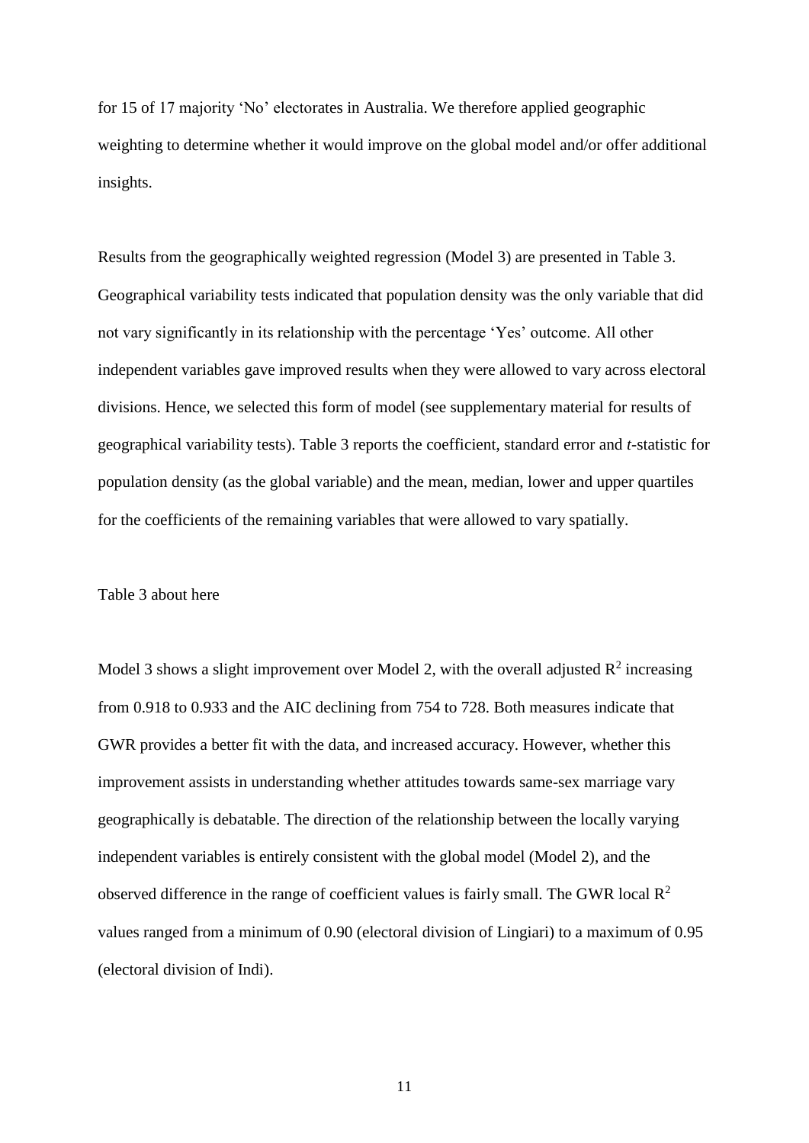for 15 of 17 majority 'No' electorates in Australia. We therefore applied geographic weighting to determine whether it would improve on the global model and/or offer additional insights.

Results from the geographically weighted regression (Model 3) are presented in Table 3. Geographical variability tests indicated that population density was the only variable that did not vary significantly in its relationship with the percentage 'Yes' outcome. All other independent variables gave improved results when they were allowed to vary across electoral divisions. Hence, we selected this form of model (see supplementary material for results of geographical variability tests). Table 3 reports the coefficient, standard error and *t*-statistic for population density (as the global variable) and the mean, median, lower and upper quartiles for the coefficients of the remaining variables that were allowed to vary spatially.

#### Table 3 about here

Model 3 shows a slight improvement over Model 2, with the overall adjusted  $\mathbb{R}^2$  increasing from 0.918 to 0.933 and the AIC declining from 754 to 728. Both measures indicate that GWR provides a better fit with the data, and increased accuracy. However, whether this improvement assists in understanding whether attitudes towards same-sex marriage vary geographically is debatable. The direction of the relationship between the locally varying independent variables is entirely consistent with the global model (Model 2), and the observed difference in the range of coefficient values is fairly small. The GWR local  $\mathbb{R}^2$ values ranged from a minimum of 0.90 (electoral division of Lingiari) to a maximum of 0.95 (electoral division of Indi).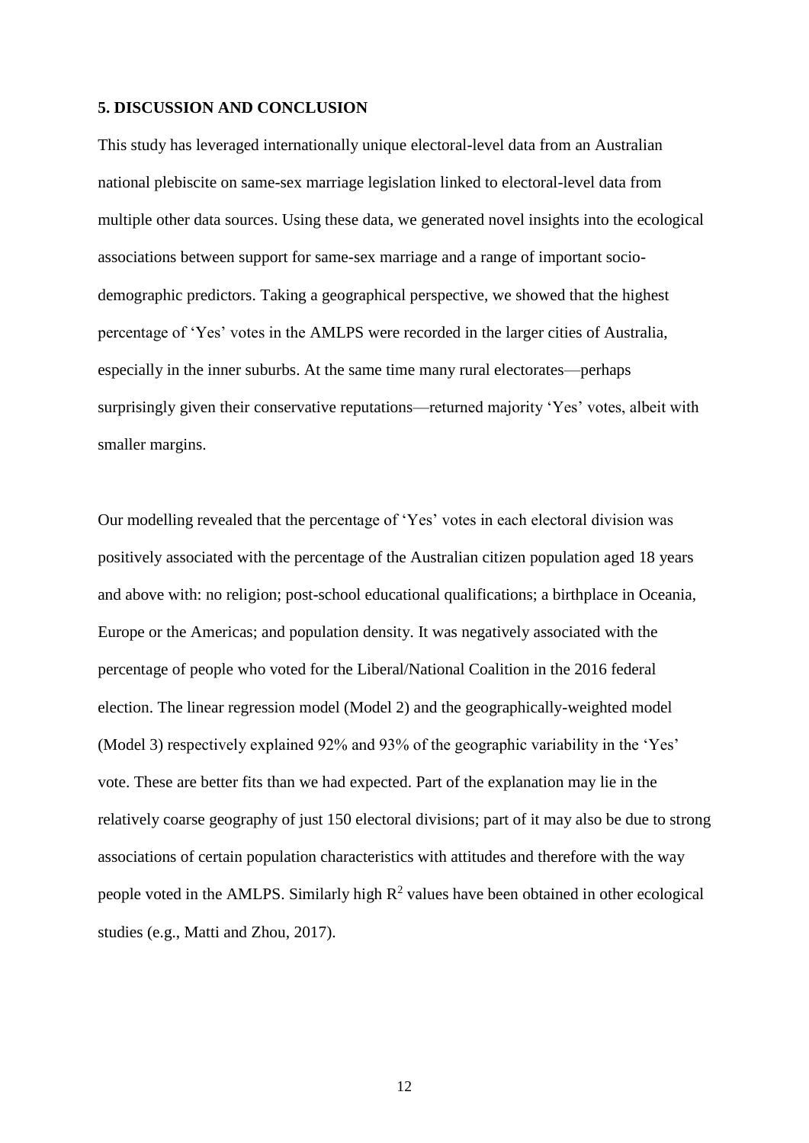#### **5. DISCUSSION AND CONCLUSION**

This study has leveraged internationally unique electoral-level data from an Australian national plebiscite on same-sex marriage legislation linked to electoral-level data from multiple other data sources. Using these data, we generated novel insights into the ecological associations between support for same-sex marriage and a range of important sociodemographic predictors. Taking a geographical perspective, we showed that the highest percentage of 'Yes' votes in the AMLPS were recorded in the larger cities of Australia, especially in the inner suburbs. At the same time many rural electorates—perhaps surprisingly given their conservative reputations—returned majority 'Yes' votes, albeit with smaller margins.

Our modelling revealed that the percentage of 'Yes' votes in each electoral division was positively associated with the percentage of the Australian citizen population aged 18 years and above with: no religion; post-school educational qualifications; a birthplace in Oceania, Europe or the Americas; and population density. It was negatively associated with the percentage of people who voted for the Liberal/National Coalition in the 2016 federal election. The linear regression model (Model 2) and the geographically-weighted model (Model 3) respectively explained 92% and 93% of the geographic variability in the 'Yes' vote. These are better fits than we had expected. Part of the explanation may lie in the relatively coarse geography of just 150 electoral divisions; part of it may also be due to strong associations of certain population characteristics with attitudes and therefore with the way people voted in the AMLPS. Similarly high  $R^2$  values have been obtained in other ecological studies (e.g., Matti and Zhou, 2017).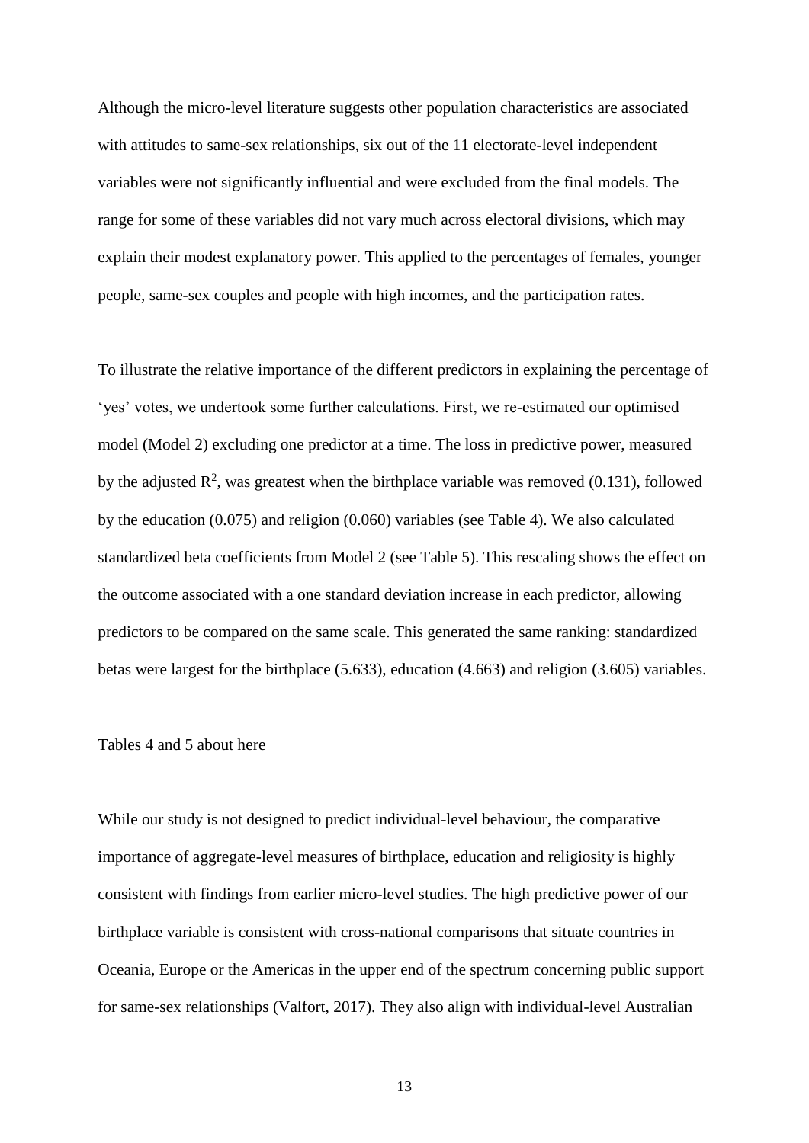Although the micro-level literature suggests other population characteristics are associated with attitudes to same-sex relationships, six out of the 11 electorate-level independent variables were not significantly influential and were excluded from the final models. The range for some of these variables did not vary much across electoral divisions, which may explain their modest explanatory power. This applied to the percentages of females, younger people, same-sex couples and people with high incomes, and the participation rates.

To illustrate the relative importance of the different predictors in explaining the percentage of 'yes' votes, we undertook some further calculations. First, we re-estimated our optimised model (Model 2) excluding one predictor at a time. The loss in predictive power, measured by the adjusted  $\mathbb{R}^2$ , was greatest when the birthplace variable was removed (0.131), followed by the education (0.075) and religion (0.060) variables (see Table 4). We also calculated standardized beta coefficients from Model 2 (see Table 5). This rescaling shows the effect on the outcome associated with a one standard deviation increase in each predictor, allowing predictors to be compared on the same scale. This generated the same ranking: standardized betas were largest for the birthplace (5.633), education (4.663) and religion (3.605) variables.

#### Tables 4 and 5 about here

While our study is not designed to predict individual-level behaviour, the comparative importance of aggregate-level measures of birthplace, education and religiosity is highly consistent with findings from earlier micro-level studies. The high predictive power of our birthplace variable is consistent with cross-national comparisons that situate countries in Oceania, Europe or the Americas in the upper end of the spectrum concerning public support for same-sex relationships (Valfort, 2017). They also align with individual-level Australian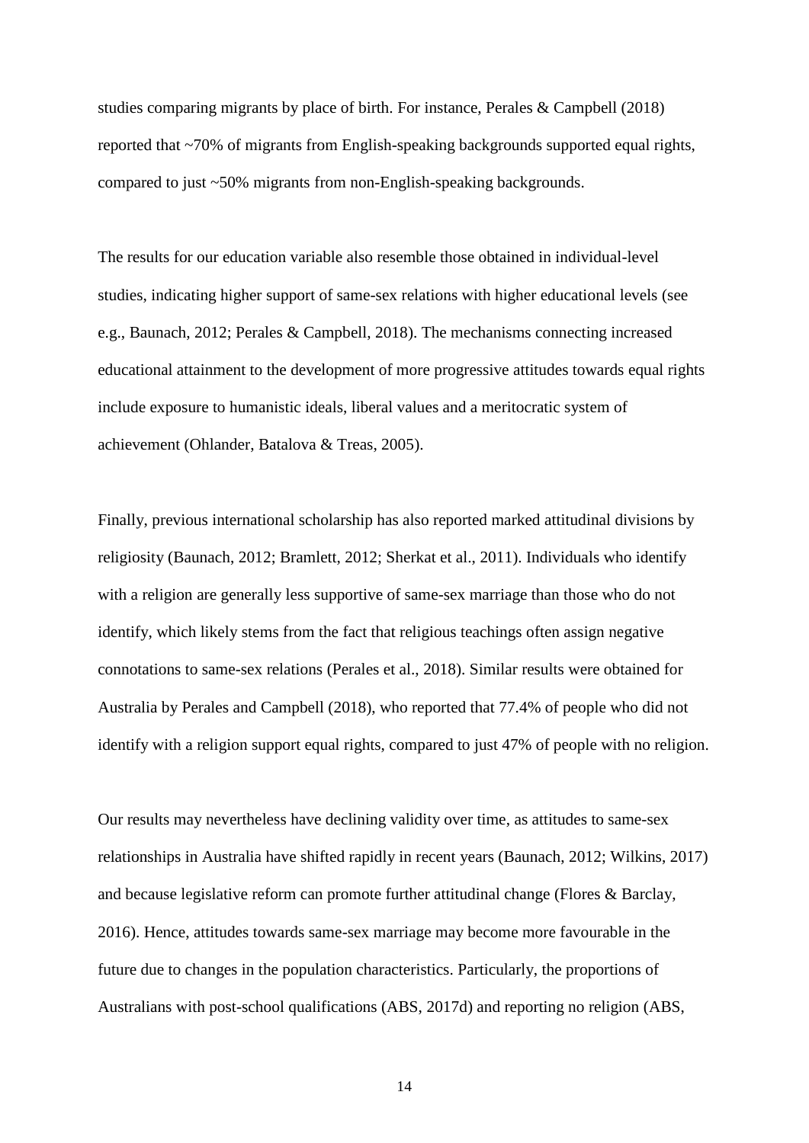studies comparing migrants by place of birth. For instance, Perales & Campbell (2018) reported that ~70% of migrants from English-speaking backgrounds supported equal rights, compared to just ~50% migrants from non-English-speaking backgrounds.

The results for our education variable also resemble those obtained in individual-level studies, indicating higher support of same-sex relations with higher educational levels (see e.g., Baunach, 2012; Perales & Campbell, 2018). The mechanisms connecting increased educational attainment to the development of more progressive attitudes towards equal rights include exposure to humanistic ideals, liberal values and a meritocratic system of achievement (Ohlander, Batalova & Treas, 2005).

Finally, previous international scholarship has also reported marked attitudinal divisions by religiosity (Baunach, 2012; Bramlett, 2012; Sherkat et al., 2011). Individuals who identify with a religion are generally less supportive of same-sex marriage than those who do not identify, which likely stems from the fact that religious teachings often assign negative connotations to same-sex relations (Perales et al., 2018). Similar results were obtained for Australia by Perales and Campbell (2018), who reported that 77.4% of people who did not identify with a religion support equal rights, compared to just 47% of people with no religion.

Our results may nevertheless have declining validity over time, as attitudes to same-sex relationships in Australia have shifted rapidly in recent years (Baunach, 2012; Wilkins, 2017) and because legislative reform can promote further attitudinal change (Flores & Barclay, 2016). Hence, attitudes towards same-sex marriage may become more favourable in the future due to changes in the population characteristics. Particularly, the proportions of Australians with post-school qualifications (ABS, 2017d) and reporting no religion (ABS,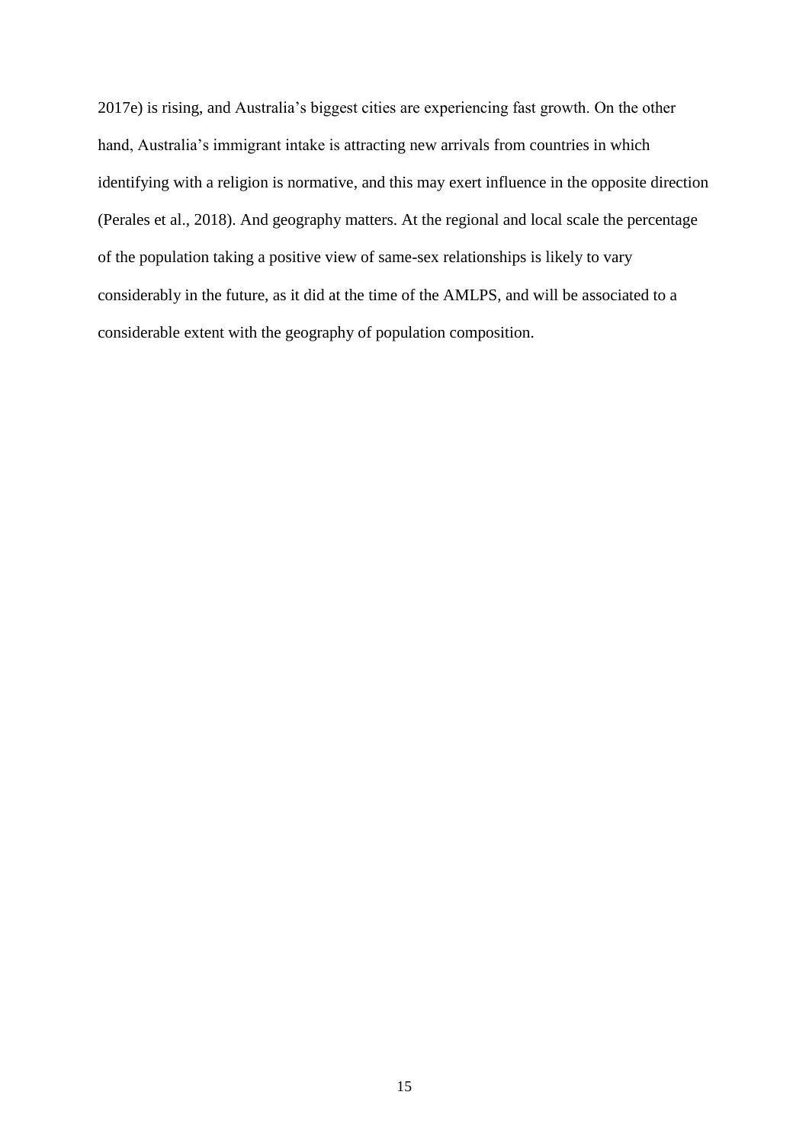2017e) is rising, and Australia's biggest cities are experiencing fast growth. On the other hand, Australia's immigrant intake is attracting new arrivals from countries in which identifying with a religion is normative, and this may exert influence in the opposite direction (Perales et al., 2018). And geography matters. At the regional and local scale the percentage of the population taking a positive view of same-sex relationships is likely to vary considerably in the future, as it did at the time of the AMLPS, and will be associated to a considerable extent with the geography of population composition.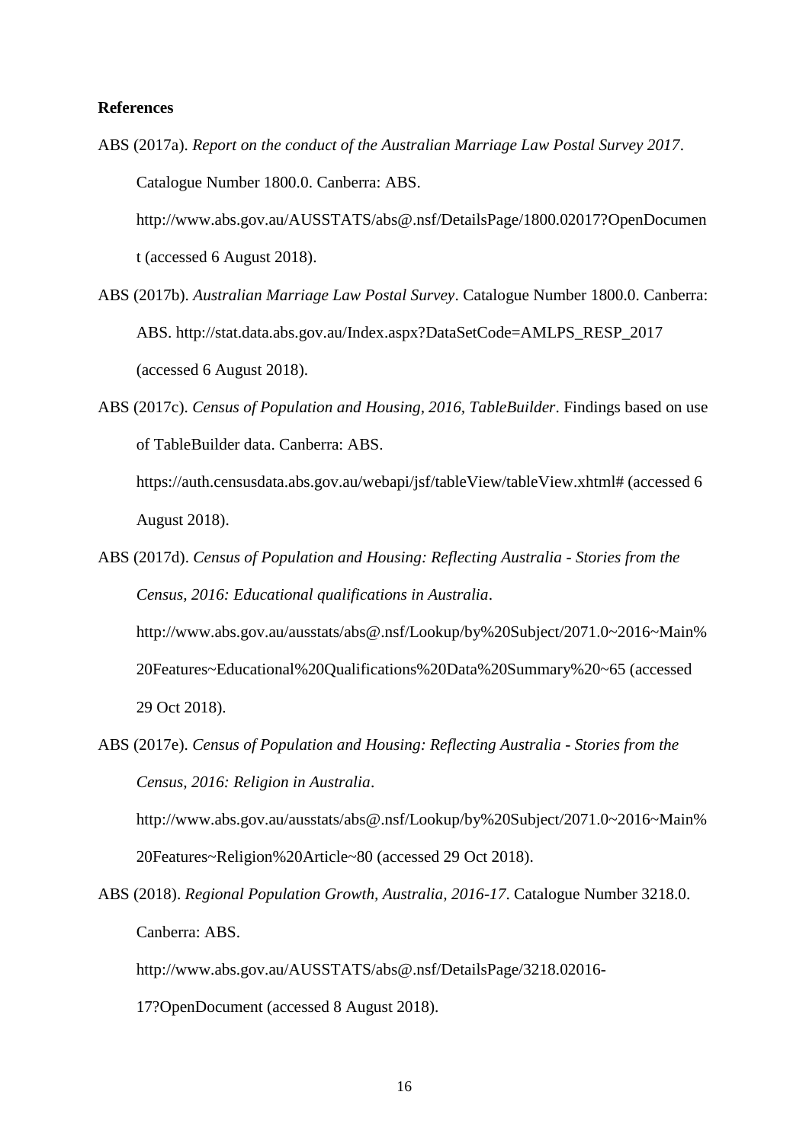#### **References**

ABS (2017a). *Report on the conduct of the Australian Marriage Law Postal Survey 2017*. Catalogue Number 1800.0. Canberra: ABS.

http://www.abs.gov.au/AUSSTATS/abs@.nsf/DetailsPage/1800.02017?OpenDocumen t (accessed 6 August 2018).

- ABS (2017b). *Australian Marriage Law Postal Survey*. Catalogue Number 1800.0. Canberra: ABS. http://stat.data.abs.gov.au/Index.aspx?DataSetCode=AMLPS\_RESP\_2017 (accessed 6 August 2018).
- ABS (2017c). *Census of Population and Housing, 2016, TableBuilder*. Findings based on use of TableBuilder data. Canberra: ABS.

https://auth.censusdata.abs.gov.au/webapi/jsf/tableView/tableView.xhtml# (accessed 6 August 2018).

ABS (2017d). *Census of Population and Housing: Reflecting Australia - Stories from the Census, 2016: Educational qualifications in Australia*. http://www.abs.gov.au/ausstats/abs@.nsf/Lookup/by%20Subject/2071.0~2016~Main% 20Features~Educational%20Qualifications%20Data%20Summary%20~65 (accessed

29 Oct 2018).

ABS (2017e). *Census of Population and Housing: Reflecting Australia - Stories from the Census, 2016: Religion in Australia*.

http://www.abs.gov.au/ausstats/abs@.nsf/Lookup/by%20Subject/2071.0~2016~Main% 20Features~Religion%20Article~80 (accessed 29 Oct 2018).

ABS (2018). *Regional Population Growth, Australia, 2016-17*. Catalogue Number 3218.0. Canberra: ABS.

http://www.abs.gov.au/AUSSTATS/abs@.nsf/DetailsPage/3218.02016-

17?OpenDocument (accessed 8 August 2018).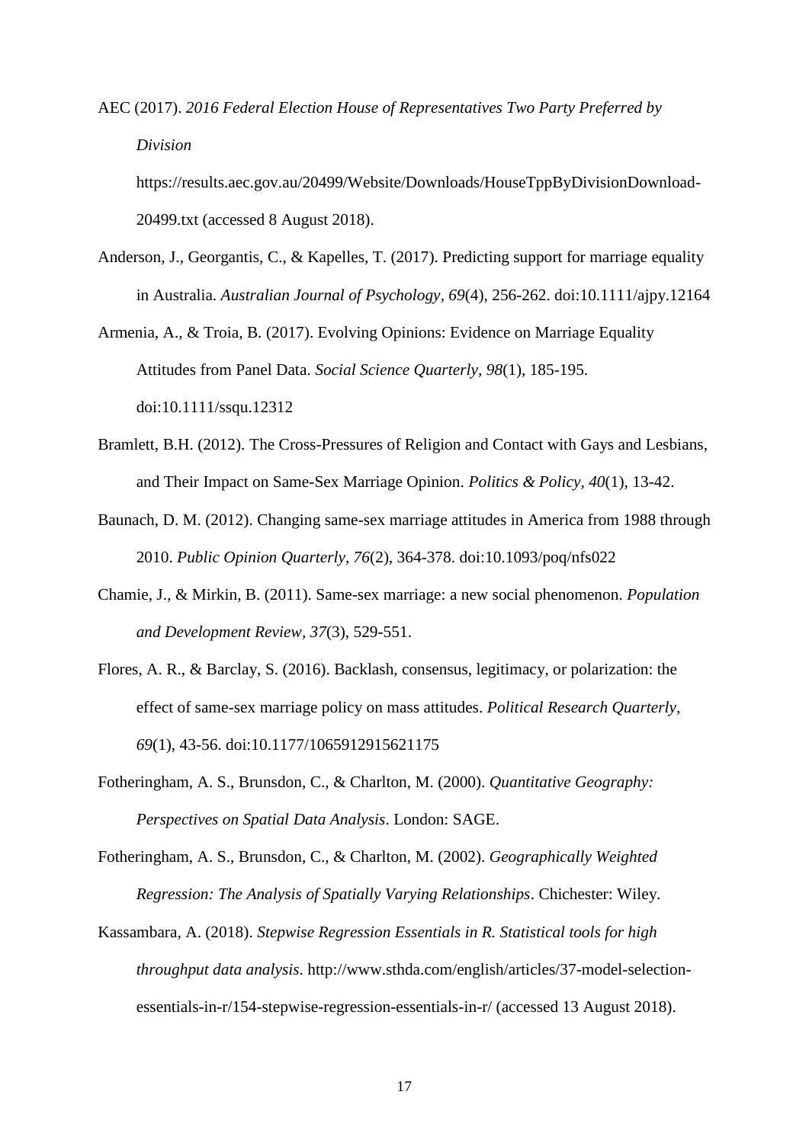AEC (2017). *2016 Federal Election House of Representatives Two Party Preferred by Division* https://results.aec.gov.au/20499/Website/Downloads/HouseTppByDivisionDownload-

20499.txt (accessed 8 August 2018).

- Anderson, J., Georgantis, C., & Kapelles, T. (2017). Predicting support for marriage equality in Australia. *Australian Journal of Psychology, 69*(4), 256-262. doi:10.1111/ajpy.12164
- Armenia, A., & Troia, B. (2017). Evolving Opinions: Evidence on Marriage Equality Attitudes from Panel Data. *Social Science Quarterly, 98*(1), 185-195. doi:10.1111/ssqu.12312
- Bramlett, B.H. (2012). The Cross-Pressures of Religion and Contact with Gays and Lesbians, and Their Impact on Same-Sex Marriage Opinion. *Politics & Policy, 40*(1), 13-42.
- Baunach, D. M. (2012). Changing same-sex marriage attitudes in America from 1988 through 2010. *Public Opinion Quarterly, 76*(2), 364-378. doi:10.1093/poq/nfs022
- Chamie, J., & Mirkin, B. (2011). Same-sex marriage: a new social phenomenon. *Population and Development Review, 37*(3), 529-551.
- Flores, A. R., & Barclay, S. (2016). Backlash, consensus, legitimacy, or polarization: the effect of same-sex marriage policy on mass attitudes. *Political Research Quarterly, 69*(1), 43-56. doi:10.1177/1065912915621175
- Fotheringham, A. S., Brunsdon, C., & Charlton, M. (2000). *Quantitative Geography: Perspectives on Spatial Data Analysis*. London: SAGE.
- Fotheringham, A. S., Brunsdon, C., & Charlton, M. (2002). *Geographically Weighted Regression: The Analysis of Spatially Varying Relationships*. Chichester: Wiley.
- Kassambara, A. (2018). *Stepwise Regression Essentials in R. Statistical tools for high throughput data analysis*. http://www.sthda.com/english/articles/37-model-selectionessentials-in-r/154-stepwise-regression-essentials-in-r/ (accessed 13 August 2018).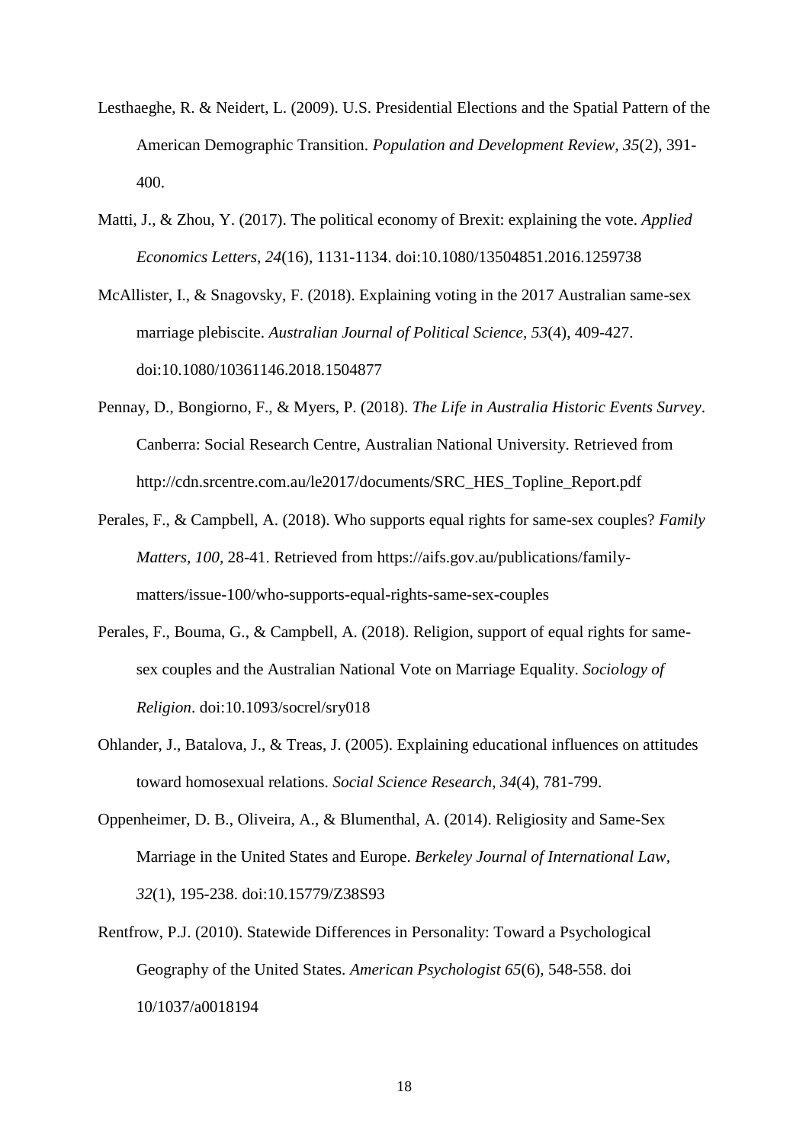- Lesthaeghe, R. & Neidert, L. (2009). U.S. Presidential Elections and the Spatial Pattern of the American Demographic Transition. *Population and Development Review, 35*(2), 391- 400.
- Matti, J., & Zhou, Y. (2017). The political economy of Brexit: explaining the vote. *Applied Economics Letters, 24*(16), 1131-1134. doi:10.1080/13504851.2016.1259738

McAllister, I., & Snagovsky, F. (2018). Explaining voting in the 2017 Australian same-sex marriage plebiscite. *Australian Journal of Political Science, 53*(4), 409-427. doi:10.1080/10361146.2018.1504877

- Pennay, D., Bongiorno, F., & Myers, P. (2018). *The Life in Australia Historic Events Survey*. Canberra: Social Research Centre, Australian National University. Retrieved from http://cdn.srcentre.com.au/le2017/documents/SRC\_HES\_Topline\_Report.pdf
- Perales, F., & Campbell, A. (2018). Who supports equal rights for same-sex couples? *Family Matters, 100*, 28-41. Retrieved from https://aifs.gov.au/publications/familymatters/issue-100/who-supports-equal-rights-same-sex-couples
- Perales, F., Bouma, G., & Campbell, A. (2018). Religion, support of equal rights for samesex couples and the Australian National Vote on Marriage Equality. *Sociology of Religion*. doi:10.1093/socrel/sry018
- Ohlander, J., Batalova, J., & Treas, J. (2005). Explaining educational influences on attitudes toward homosexual relations. *Social Science Research, 34*(4), 781-799.
- Oppenheimer, D. B., Oliveira, A., & Blumenthal, A. (2014). Religiosity and Same-Sex Marriage in the United States and Europe. *Berkeley Journal of International Law, 32*(1), 195-238. doi:10.15779/Z38S93
- Rentfrow, P.J. (2010). Statewide Differences in Personality: Toward a Psychological Geography of the United States. *American Psychologist 65*(6), 548-558. doi 10/1037/a0018194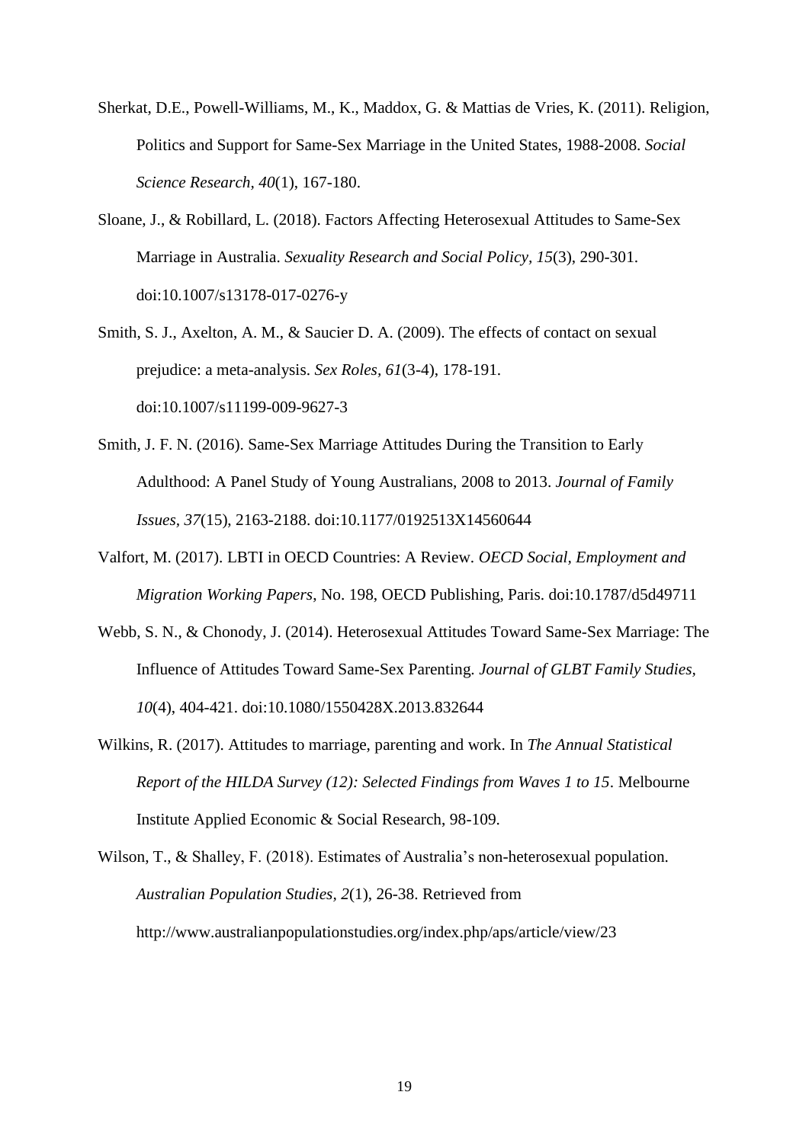- Sherkat, D.E., Powell-Williams, M., K., Maddox, G. & Mattias de Vries, K. (2011). Religion, Politics and Support for Same-Sex Marriage in the United States, 1988-2008. *Social Science Research, 40*(1), 167-180.
- Sloane, J., & Robillard, L. (2018). Factors Affecting Heterosexual Attitudes to Same-Sex Marriage in Australia. *Sexuality Research and Social Policy, 15*(3), 290-301. doi:10.1007/s13178-017-0276-y
- Smith, S. J., Axelton, A. M., & Saucier D. A. (2009). The effects of contact on sexual prejudice: a meta-analysis. *Sex Roles, 61*(3-4), 178-191. doi:10.1007/s11199-009-9627-3
- Smith, J. F. N. (2016). Same-Sex Marriage Attitudes During the Transition to Early Adulthood: A Panel Study of Young Australians, 2008 to 2013. *Journal of Family Issues, 37*(15), 2163-2188. doi:10.1177/0192513X14560644
- Valfort, M. (2017). LBTI in OECD Countries: A Review. *OECD Social, Employment and Migration Working Papers*, No. 198, OECD Publishing, Paris. doi:10.1787/d5d49711
- Webb, S. N., & Chonody, J. (2014). Heterosexual Attitudes Toward Same-Sex Marriage: The Influence of Attitudes Toward Same-Sex Parenting. *Journal of GLBT Family Studies, 10*(4), 404-421. doi:10.1080/1550428X.2013.832644
- Wilkins, R. (2017). Attitudes to marriage, parenting and work. In *The Annual Statistical Report of the HILDA Survey (12): Selected Findings from Waves 1 to 15*. Melbourne Institute Applied Economic & Social Research, 98-109.
- Wilson, T., & Shalley, F. (2018). Estimates of Australia's non-heterosexual population. *Australian Population Studies, 2*(1), 26-38. Retrieved from http://www.australianpopulationstudies.org/index.php/aps/article/view/23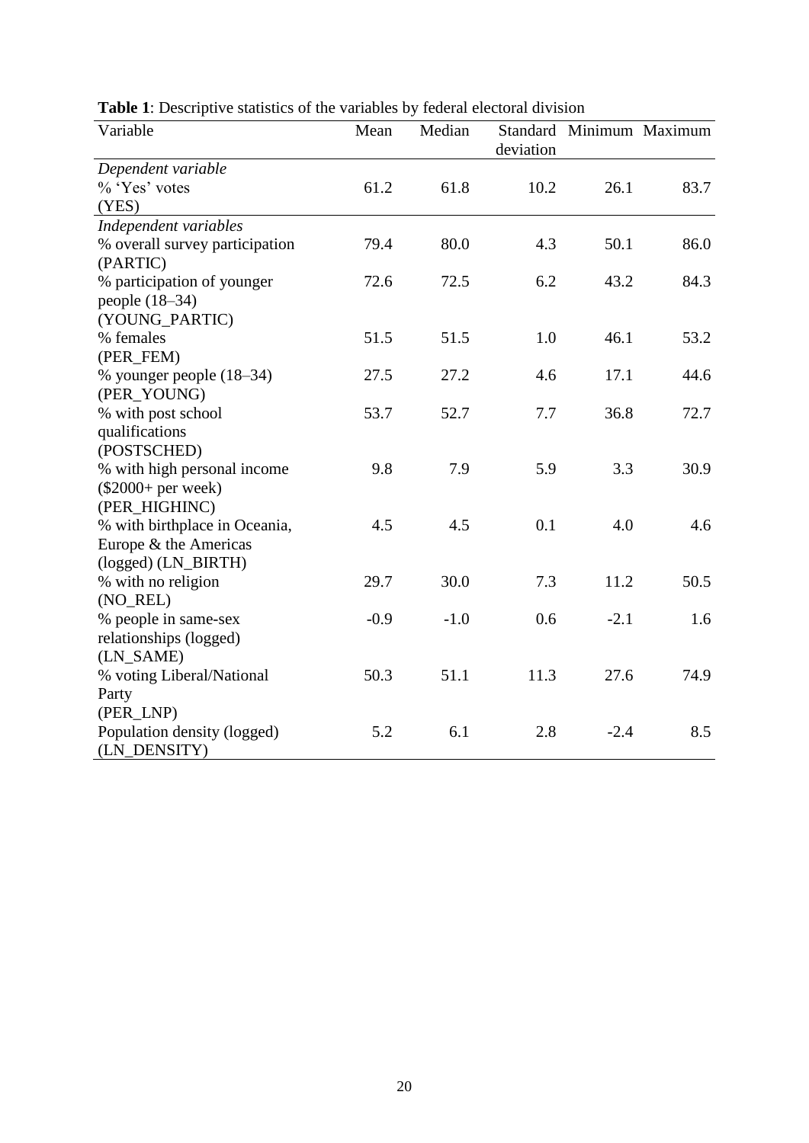| Variable                       | Mean   | Median | deviation |        | Standard Minimum Maximum |
|--------------------------------|--------|--------|-----------|--------|--------------------------|
| Dependent variable             |        |        |           |        |                          |
| % 'Yes' votes                  | 61.2   | 61.8   | 10.2      | 26.1   | 83.7                     |
| (YES)                          |        |        |           |        |                          |
| Independent variables          |        |        |           |        |                          |
| % overall survey participation | 79.4   | 80.0   | 4.3       | 50.1   | 86.0                     |
| (PARTIC)                       |        |        |           |        |                          |
| % participation of younger     | 72.6   | 72.5   | 6.2       | 43.2   | 84.3                     |
| people $(18-34)$               |        |        |           |        |                          |
| (YOUNG_PARTIC)                 |        |        |           |        |                          |
| % females                      | 51.5   | 51.5   | 1.0       | 46.1   | 53.2                     |
| (PER_FEM)                      |        |        |           |        |                          |
| % younger people (18–34)       | 27.5   | 27.2   | 4.6       | 17.1   | 44.6                     |
| (PER_YOUNG)                    |        |        |           |        |                          |
| % with post school             | 53.7   | 52.7   | 7.7       | 36.8   | 72.7                     |
| qualifications                 |        |        |           |        |                          |
| (POSTSCHED)                    |        |        |           |        |                          |
| % with high personal income    | 9.8    | 7.9    | 5.9       | 3.3    | 30.9                     |
| $(\$2000+per$ week)            |        |        |           |        |                          |
| (PER_HIGHINC)                  |        |        |           |        |                          |
| % with birthplace in Oceania,  | 4.5    | 4.5    | 0.1       | 4.0    | 4.6                      |
| Europe & the Americas          |        |        |           |        |                          |
| (logged) (LN_BIRTH)            |        |        |           |        |                          |
| % with no religion             | 29.7   | 30.0   | 7.3       | 11.2   | 50.5                     |
| (NO_REL)                       |        |        |           |        |                          |
| % people in same-sex           | $-0.9$ | $-1.0$ | 0.6       | $-2.1$ | 1.6                      |
| relationships (logged)         |        |        |           |        |                          |
| (LN_SAME)                      |        |        |           |        |                          |
| % voting Liberal/National      | 50.3   | 51.1   | 11.3      | 27.6   | 74.9                     |
| Party                          |        |        |           |        |                          |
| (PER_LNP)                      |        |        |           |        |                          |
| Population density (logged)    | 5.2    | 6.1    | 2.8       | $-2.4$ | 8.5                      |
| (LN DENSITY)                   |        |        |           |        |                          |

**Table 1**: Descriptive statistics of the variables by federal electoral division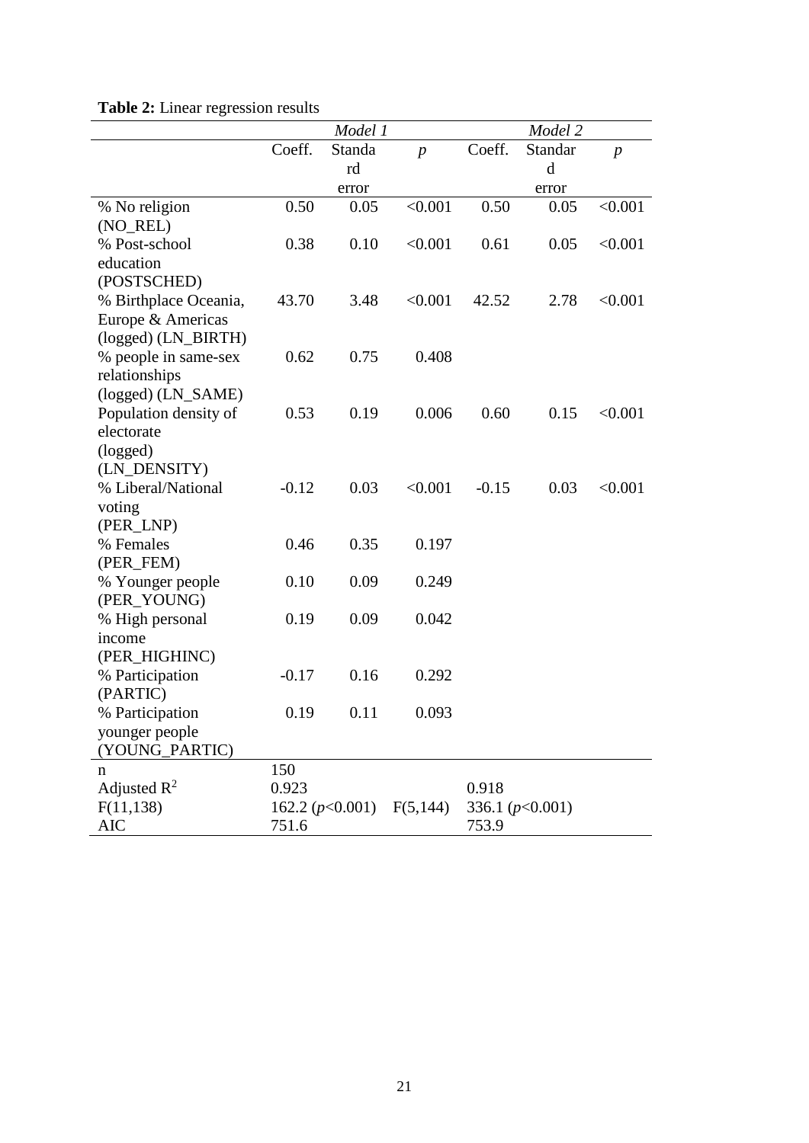|                       |         | Model 1           |                  |         | Model 2           |                  |
|-----------------------|---------|-------------------|------------------|---------|-------------------|------------------|
|                       | Coeff.  | Standa            | $\boldsymbol{p}$ | Coeff.  | Standar           | $\boldsymbol{p}$ |
|                       |         | rd                |                  |         | d                 |                  |
|                       |         | error             |                  |         | error             |                  |
| % No religion         | 0.50    | 0.05              | < 0.001          | 0.50    | 0.05              | < 0.001          |
| (NO_REL)              |         |                   |                  |         |                   |                  |
| % Post-school         | 0.38    | 0.10              | < 0.001          | 0.61    | 0.05              | < 0.001          |
| education             |         |                   |                  |         |                   |                  |
| (POSTSCHED)           |         |                   |                  |         |                   |                  |
| % Birthplace Oceania, | 43.70   | 3.48              | < 0.001          | 42.52   | 2.78              | < 0.001          |
| Europe & Americas     |         |                   |                  |         |                   |                  |
| (logged) (LN_BIRTH)   |         |                   |                  |         |                   |                  |
| % people in same-sex  | 0.62    | 0.75              | 0.408            |         |                   |                  |
| relationships         |         |                   |                  |         |                   |                  |
| (logged) (LN_SAME)    |         |                   |                  |         |                   |                  |
| Population density of | 0.53    | 0.19              | 0.006            | 0.60    | 0.15              | < 0.001          |
| electorate            |         |                   |                  |         |                   |                  |
| (logged)              |         |                   |                  |         |                   |                  |
| (LN_DENSITY)          |         |                   |                  |         |                   |                  |
| % Liberal/National    | $-0.12$ | 0.03              | < 0.001          | $-0.15$ | 0.03              | < 0.001          |
| voting                |         |                   |                  |         |                   |                  |
| (PER_LNP)             |         |                   |                  |         |                   |                  |
| % Females             | 0.46    | 0.35              | 0.197            |         |                   |                  |
| (PER_FEM)             |         |                   |                  |         |                   |                  |
| % Younger people      | 0.10    | 0.09              | 0.249            |         |                   |                  |
| (PER_YOUNG)           |         |                   |                  |         |                   |                  |
| % High personal       | 0.19    | 0.09              | 0.042            |         |                   |                  |
| income                |         |                   |                  |         |                   |                  |
| (PER_HIGHINC)         |         |                   |                  |         |                   |                  |
| % Participation       | $-0.17$ | 0.16              | 0.292            |         |                   |                  |
| (PARTIC)              |         |                   |                  |         |                   |                  |
| % Participation       | 0.19    | 0.11              | 0.093            |         |                   |                  |
| younger people        |         |                   |                  |         |                   |                  |
| (YOUNG_PARTIC)        |         |                   |                  |         |                   |                  |
| n                     | 150     |                   |                  |         |                   |                  |
| Adjusted $R^2$        | 0.923   |                   |                  | 0.918   |                   |                  |
| F(11, 138)            |         | 162.2 $(p<0.001)$ | F(5,144)         |         | 336.1 $(p<0.001)$ |                  |
| <b>AIC</b>            | 751.6   |                   |                  | 753.9   |                   |                  |

### **Table 2:** Linear regression results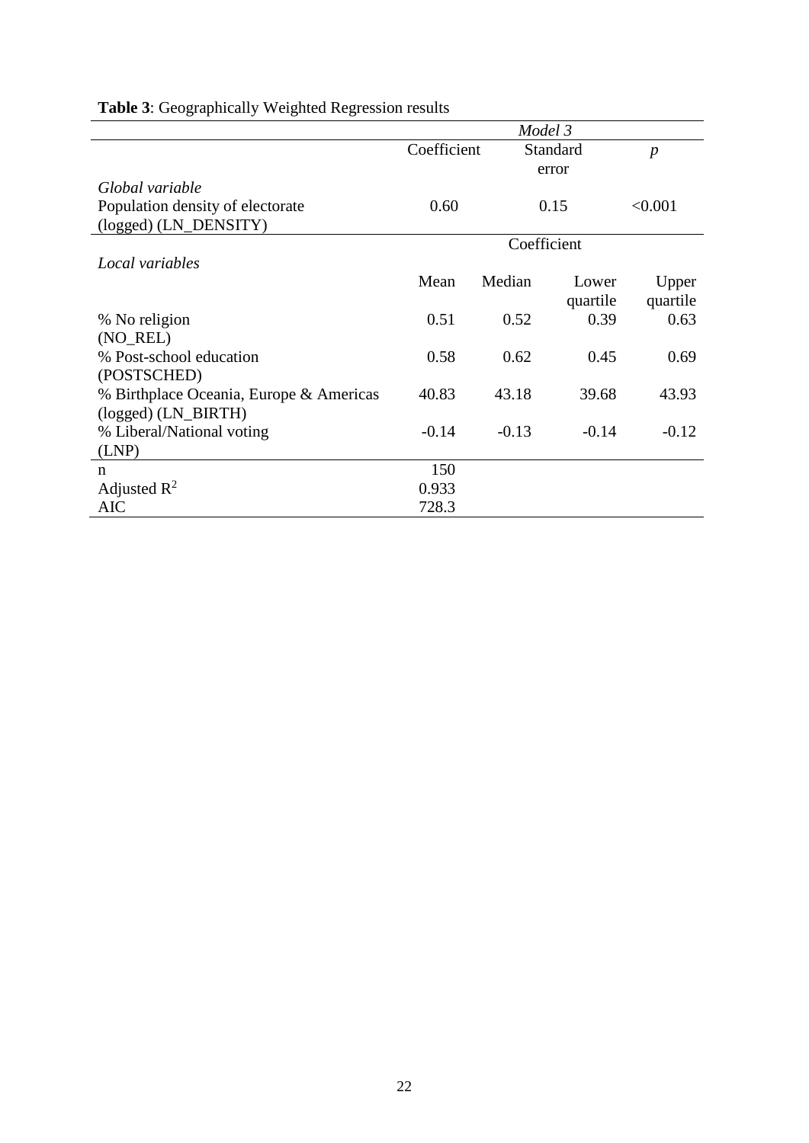|                                         | Model 3     |          |          |                  |
|-----------------------------------------|-------------|----------|----------|------------------|
|                                         | Coefficient | Standard |          | $\boldsymbol{p}$ |
|                                         |             | error    |          |                  |
| Global variable                         |             |          |          |                  |
| Population density of electorate        | 0.60        |          | 0.15     | < 0.001          |
| (logged) (LN_DENSITY)                   |             |          |          |                  |
|                                         | Coefficient |          |          |                  |
| Local variables                         |             |          |          |                  |
|                                         | Mean        | Median   | Lower    | Upper            |
|                                         |             |          | quartile | quartile         |
| % No religion                           | 0.51        | 0.52     | 0.39     | 0.63             |
| (NO_REL)                                |             |          |          |                  |
| % Post-school education                 | 0.58        | 0.62     | 0.45     | 0.69             |
| (POSTSCHED)                             |             |          |          |                  |
| % Birthplace Oceania, Europe & Americas | 40.83       | 43.18    | 39.68    | 43.93            |
| (logged) (LN_BIRTH)                     |             |          |          |                  |
| % Liberal/National voting               | $-0.14$     | $-0.13$  | $-0.14$  | $-0.12$          |
| (LNP)                                   |             |          |          |                  |
| n                                       | 150         |          |          |                  |
| Adjusted $R^2$                          | 0.933       |          |          |                  |
| AIC                                     | 728.3       |          |          |                  |

## **Table 3**: Geographically Weighted Regression results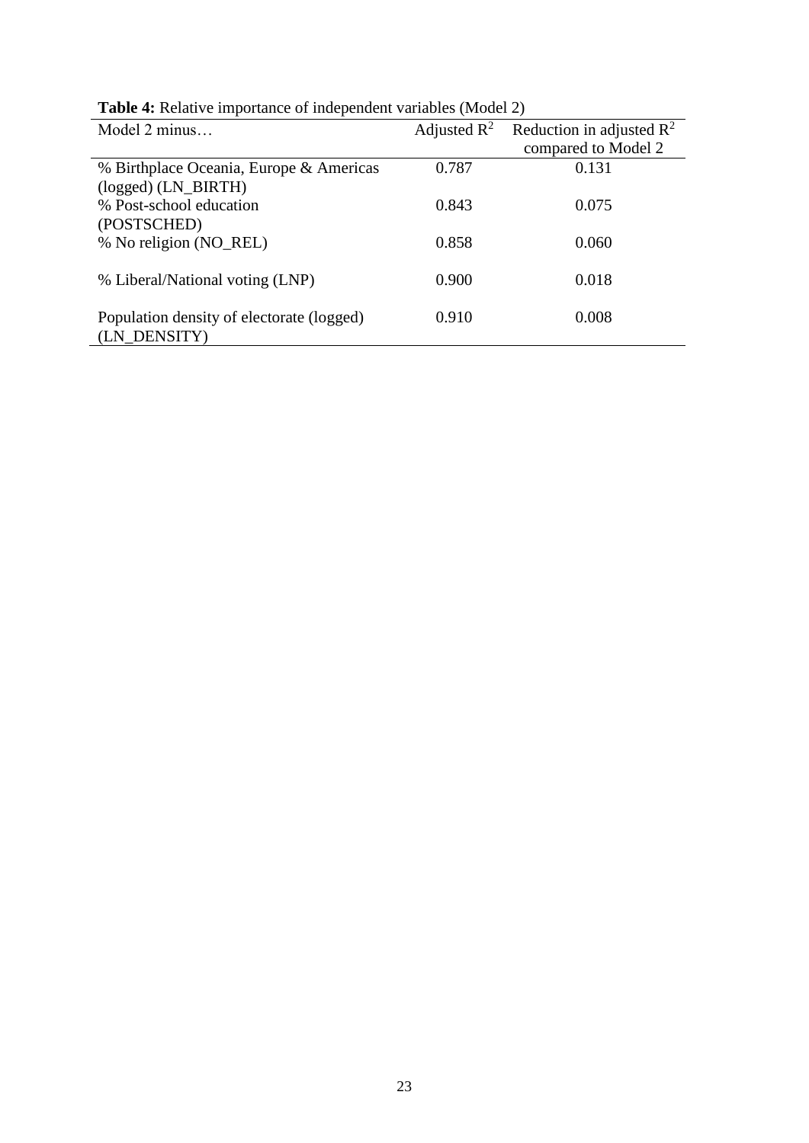| Model 2 minus                             |       | Adjusted $R^2$ Reduction in adjusted $R^2$ |
|-------------------------------------------|-------|--------------------------------------------|
|                                           |       | compared to Model 2                        |
| % Birthplace Oceania, Europe & Americas   | 0.787 | 0.131                                      |
| $(logged)$ (LN_BIRTH)                     |       |                                            |
| % Post-school education                   | 0.843 | 0.075                                      |
| (POSTSCHED)                               |       |                                            |
| % No religion (NO_REL)                    | 0.858 | 0.060                                      |
|                                           |       |                                            |
| % Liberal/National voting (LNP)           | 0.900 | 0.018                                      |
|                                           |       |                                            |
| Population density of electorate (logged) | 0.910 | 0.008                                      |
| (LN_DENSITY)                              |       |                                            |

**Table 4:** Relative importance of independent variables (Model 2)